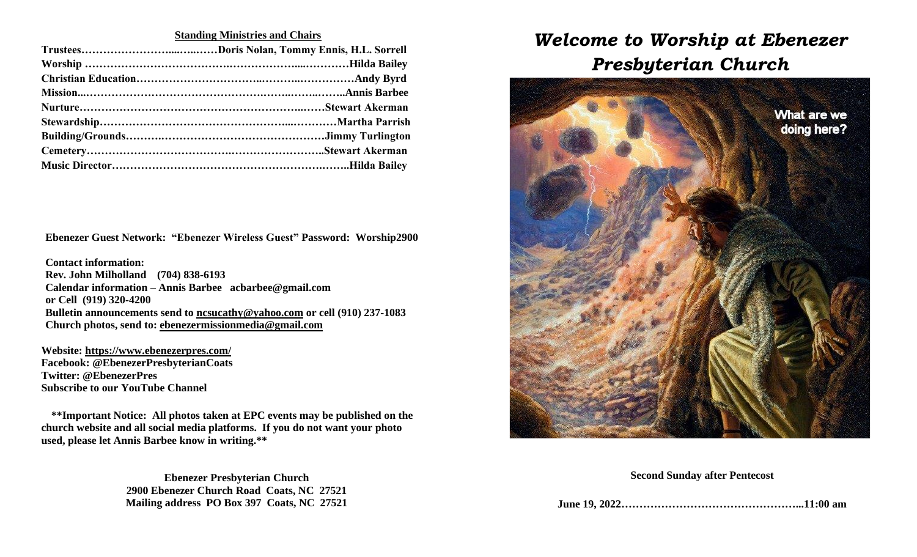### **Standing Ministries and Chairs**

**Ebenezer Guest Network: "Ebenezer Wireless Guest" Password: Worship2900**

**Contact information: Rev. John Milholland (704) 838-6193 Calendar information – Annis Barbee [acbarbee@gmail.com](mailto:acbarbee@gmail.com) or Cell (919) 320-4200 Bulletin announcements send to [ncsucathy@yahoo.com](mailto:ncsucathy@yahoo.com) or cell (910) 237-1083 Church photos, send to: [ebenezermissionmedia@gmail.com](mailto:ebenezermissionmedia@gmail.com)**

**Website:<https://www.ebenezerpres.com/> Facebook: @EbenezerPresbyterianCoats Twitter: @EbenezerPres Subscribe to our YouTube Channel**

**\*\*Important Notice: All photos taken at EPC events may be published on the church website and all social media platforms. If you do not want your photo used, please let Annis Barbee know in writing.\*\***

> **Ebenezer Presbyterian Church 2900 Ebenezer Church Road Coats, NC 27521 Mailing address PO Box 397 Coats, NC 27521**

# *Welcome to Worship at Ebenezer Presbyterian Church*



#### **Second Sunday after Pentecost**

**June 19, 2022…………………………………………...11:00 am**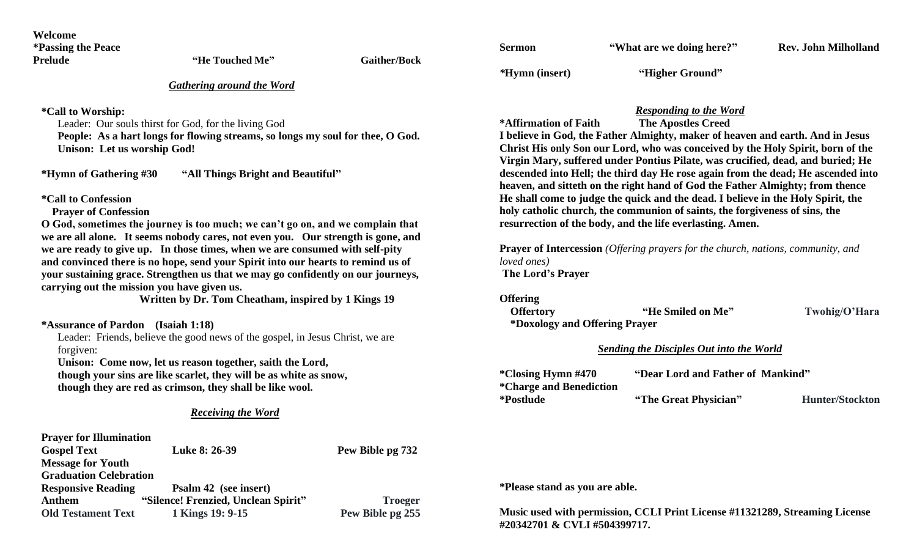| Welcome                   |                 |                     |
|---------------------------|-----------------|---------------------|
| <i>*Passing the Peace</i> |                 |                     |
| <b>Prelude</b>            | "He Touched Me" | <b>Gaither/Bock</b> |

| <b>Sermon</b>  | "What are we doing here?" | <b>Rev. John Milholland</b> |  |
|----------------|---------------------------|-----------------------------|--|
| *Hymn (insert) | "Higher Ground"           |                             |  |

*Gathering around the Word*

**\*Call to Worship:**

Leader: Our souls thirst for God, for the living God

**People: As a hart longs for flowing streams, so longs my soul for thee, O God. Unison: Let us worship God!**

**\*Hymn of Gathering #30 "All Things Bright and Beautiful"** 

**\*Call to Confession** 

 **Prayer of Confession**

**O God, sometimes the journey is too much; we can't go on, and we complain that we are all alone. It seems nobody cares, not even you. Our strength is gone, and we are ready to give up. In those times, when we are consumed with self-pity and convinced there is no hope, send your Spirit into our hearts to remind us of your sustaining grace. Strengthen us that we may go confidently on our journeys, carrying out the mission you have given us.**

**Written by Dr. Tom Cheatham, inspired by 1 Kings 19**

**\*Assurance of Pardon (Isaiah 1:18)**

Leader: Friends, believe the good news of the gospel, in Jesus Christ, we are forgiven:

**Unison: Come now, let us reason together, saith the Lord,** 

 **though your sins are like scarlet, they will be as white as snow, though they are red as crimson, they shall be like wool.**

#### *Receiving the Word*

| <b>Prayer for Illumination</b> |                                     |                  |
|--------------------------------|-------------------------------------|------------------|
| <b>Gospel Text</b>             | Luke 8: 26-39                       | Pew Bible pg 732 |
| <b>Message for Youth</b>       |                                     |                  |
| <b>Graduation Celebration</b>  |                                     |                  |
| <b>Responsive Reading</b>      | Psalm 42 (see insert)               |                  |
| Anthem                         | "Silence! Frenzied, Unclean Spirit" | <b>Troeger</b>   |
| <b>Old Testament Text</b>      | 1 Kings 19: 9-15                    | Pew Bible pg 255 |

#### *Responding to the Word*

**\*Affirmation of Faith The Apostles Creed**

**I believe in God, the Father Almighty, maker of heaven and earth. And in Jesus Christ His only Son our Lord, who was conceived by the Holy Spirit, born of the Virgin Mary, suffered under Pontius Pilate, was crucified, dead, and buried; He descended into Hell; the third day He rose again from the dead; He ascended into heaven, and sitteth on the right hand of God the Father Almighty; from thence He shall come to judge the quick and the dead. I believe in the Holy Spirit, the holy catholic church, the communion of saints, the forgiveness of sins, the resurrection of the body, and the life everlasting. Amen.**

**Prayer of Intercession** *(Offering prayers for the church, nations, community, and loved ones)* **The Lord's Prayer**

**Offering**

**Offertory "He Smiled on Me" Twohig/O'Hara \*Doxology and Offering Prayer** 

#### *Sending the Disciples Out into the World*

| *Closing Hymn #470      | "Dear Lord and Father of Mankind" |                        |
|-------------------------|-----------------------------------|------------------------|
| *Charge and Benediction |                                   |                        |
| *Postlude               | "The Great Physician"             | <b>Hunter/Stockton</b> |

**\*Please stand as you are able.**

**Music used with permission, CCLI Print License #11321289, Streaming License #20342701 & CVLI #504399717.**